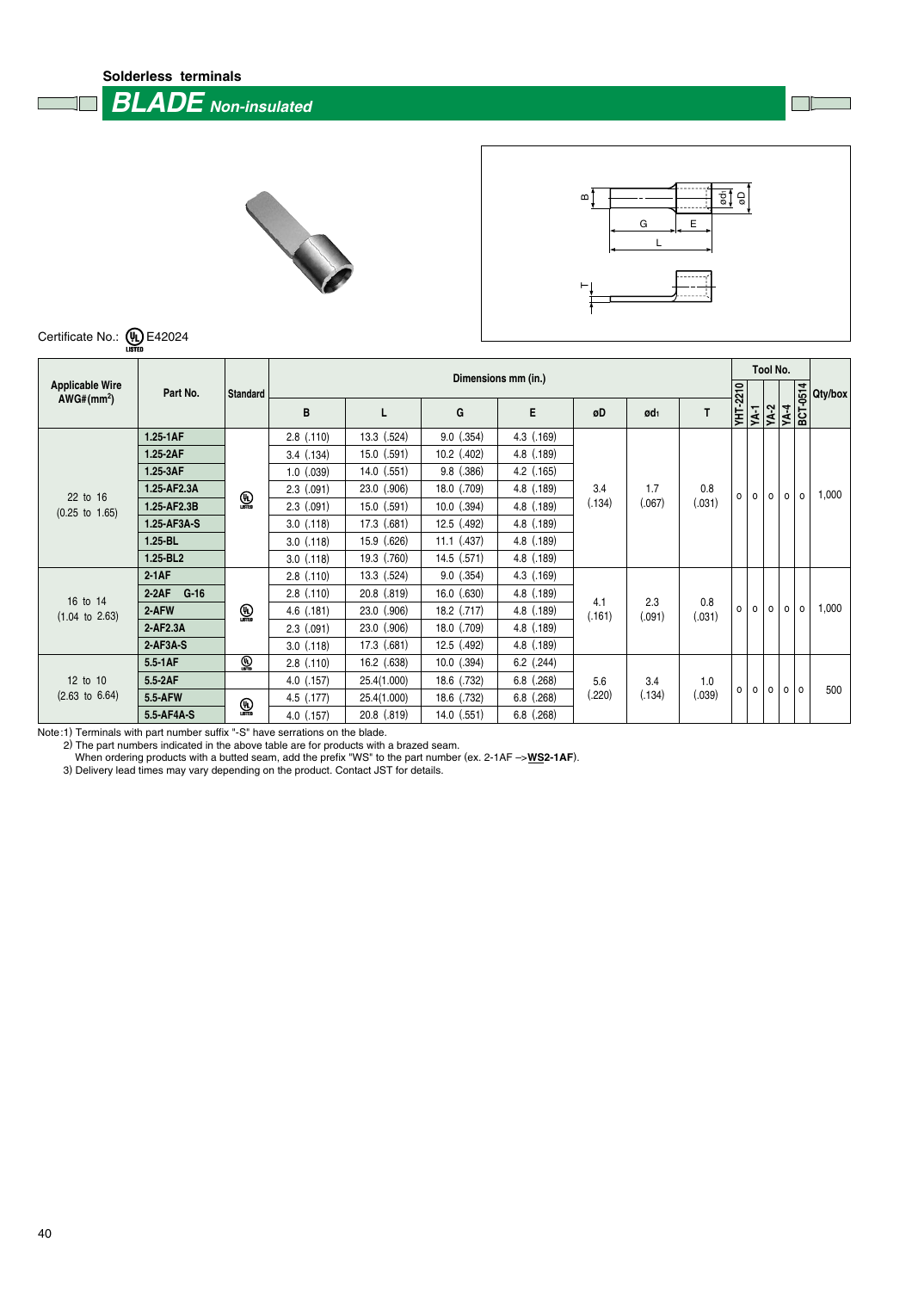**Solderless terminals**

 **BLADE Non-insulated**





Certificate No.: **(4)** E42024

|                                                   |                   |              | Dimensions mm (in.) |                 |                 |                |               |                 |               |                 |         |         | Tool No.         |         |         |
|---------------------------------------------------|-------------------|--------------|---------------------|-----------------|-----------------|----------------|---------------|-----------------|---------------|-----------------|---------|---------|------------------|---------|---------|
| <b>Applicable Wire</b><br>AWG# (mm <sup>2</sup> ) | Part No.          | Standard     |                     |                 |                 |                |               |                 |               |                 |         |         |                  |         | Qty/box |
|                                                   |                   |              | B                   |                 | G               | E              | øD            | ød <sub>1</sub> | T             | <b>YHT-2210</b> | YA-1    | $YA-2$  | YA-4<br>BCT-0514 |         |         |
|                                                   | 1.25-1AF          |              | $2.8$ $(.110)$      | 13.3 (.524)     | $9.0$ $(.354)$  | 4.3 (.169)     |               |                 |               |                 |         |         |                  |         |         |
|                                                   | 1.25-2AF          |              | $3.4$ $(.134)$      | $15.0$ $(.591)$ | $10.2$ (.402)   | 4.8 (.189)     |               | 1.7<br>(.067)   |               |                 |         |         |                  |         |         |
|                                                   | 1.25-3AF          |              | $1.0$ $(.039)$      | $14.0$ (.551)   | $9.8$ $(.386)$  | $4.2$ (.165)   | 3.4<br>(.134) |                 |               |                 |         |         |                  |         |         |
| 22 to 16                                          | 1.25-AF2.3A       |              | $2.3$ $(.091)$      | 23.0 (.906)     | 18.0 (.709)     | 4.8 (.189)     |               |                 | 0.8           | $\Omega$        | $\circ$ | $\circ$ | $\circ$          | $\circ$ | 1,000   |
| $(0.25 \text{ to } 1.65)$                         | 1.25-AF2.3B       | $\bigcirc$   | $2.3$ $(.091)$      | $15.0$ $(.591)$ | $10.0$ $(.394)$ | 4.8 (.189)     |               |                 | (.031)        |                 |         |         |                  |         |         |
|                                                   | 1.25-AF3A-S       |              | $3.0$ $(.118)$      | 17.3 (.681)     | 12.5 (.492)     | 4.8 (.189)     |               |                 |               |                 |         |         |                  |         |         |
|                                                   | $1.25 - BL$       |              | $3.0$ $(.118)$      | 15.9 (.626)     | $11.1$ (.437)   | $4.8$ $(.189)$ |               |                 |               |                 |         |         |                  |         |         |
|                                                   | 1.25-BL2          |              | $3.0$ $(.118)$      | 19.3 (.760)     | 14.5 (.571)     | 4.8 (.189)     |               |                 |               |                 |         |         |                  |         |         |
|                                                   | $2-1AF$           |              | $2.8$ $(.110)$      | 13.3 (.524)     | $9.0$ $(.354)$  | $4.3$ $(.169)$ |               | 2.3<br>(.091)   |               |                 |         |         |                  |         |         |
| 16 to 14                                          | $2-2AF$<br>$G-16$ |              | $2.8$ $(.110)$      | 20.8 (.819)     | $16.0$ $(.630)$ | 4.8 (.189)     |               |                 |               |                 |         |         |                  |         |         |
| $(1.04 \text{ to } 2.63)$                         | 2-AFW             | $\bigcirc$   | $4.6$ $(.181)$      | 23.0 (.906)     | $18.2$ (.717)   | $4.8$ $(.189)$ | 4.1<br>(.161) |                 | 0.8<br>(.031) | $\Omega$        | $\circ$ | $\circ$ | $\circ$          | $\circ$ | 1,000   |
|                                                   | 2-AF2.3A          |              | $2.3$ $(.091)$      | 23.0 (.906)     | 18.0 (.709)     | $4.8$ $(.189)$ |               |                 |               |                 |         |         |                  |         |         |
|                                                   | $2-AF3A-S$        |              | $3.0$ $(.118)$      | 17.3 (.681)     | 12.5 (.492)     | 4.8 (.189)     |               |                 |               |                 |         |         |                  |         |         |
|                                                   | 5.5-1AF           | $\mathbb{Q}$ | $2.8$ $(.110)$      | $16.2$ (.638)   | $10.0$ $(.394)$ | $6.2$ (.244)   | 5.6           |                 |               |                 |         |         |                  |         |         |
| 12 to 10                                          | 5.5-2AF           |              | $4.0$ (.157)        | 25.4(1.000)     | 18.6 (.732)     | $6.8$ $(.268)$ |               | 3.4             | 1.0           |                 |         |         |                  |         |         |
| $(2.63 \text{ to } 6.64)$                         | 5.5-AFW           |              | $4.5$ $(0.177)$     | 25.4(1.000)     | 18.6 (.732)     | $6.8$ $(.268)$ | (.220)        | (.134)          | (.039)        | 0               | $\circ$ | $\circ$ | $\circ$          | $\circ$ | 500     |
|                                                   | 5.5-AF4A-S        | $\mathbb{Q}$ | $4.0$ $(.157)$      | 20.8 (.819)     | $14.0$ $(.551)$ | $6.8$ $(.268)$ |               |                 |               |                 |         |         |                  |         |         |

Note:1) Terminals with part number suffix "-S" have serrations on the blade.

2) The part numbers indicated in the above table are for products with a brazed seam.

When ordering products with a butted seam, add the prefix "WS" to the part number (ex. 2-1AF ->**WS2-1AF**).

3) Delivery lead times may vary depending on the product. Contact JST for details.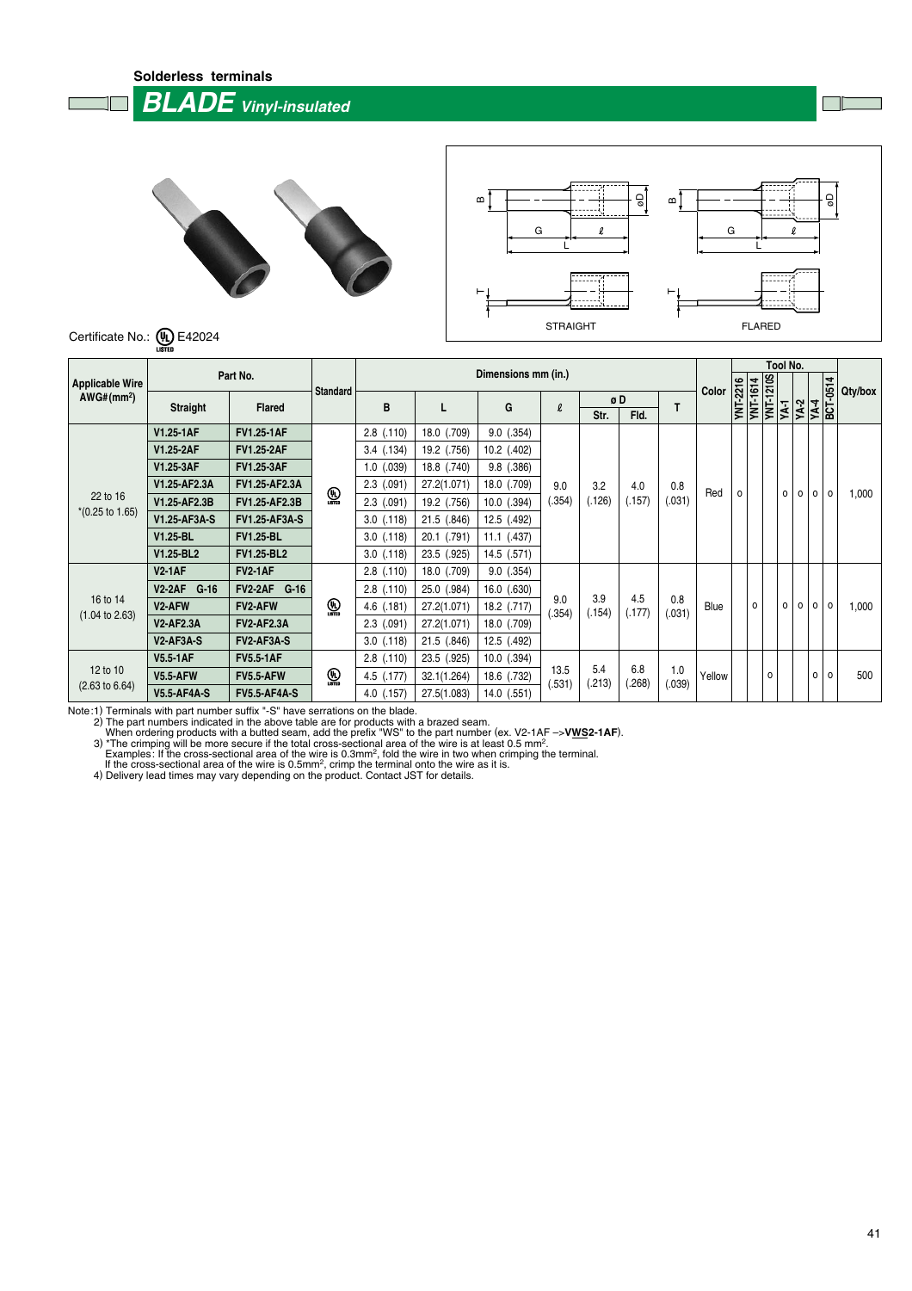**Solderless terminals**

 **BLADE Vinyl-insulated**





Certificate No.:  $\underbrace{\mathbf{\mathsf{U}}_1}$  E42024

|                                        |                                     |                          |                  | Dimensions mm (in.) |                |                 |                |               |               |               |        |                 |                  | Tool No.     |                   |                   |          |         |
|----------------------------------------|-------------------------------------|--------------------------|------------------|---------------------|----------------|-----------------|----------------|---------------|---------------|---------------|--------|-----------------|------------------|--------------|-------------------|-------------------|----------|---------|
| <b>Applicable Wire</b>                 |                                     | Part No.                 |                  |                     |                |                 |                |               |               |               |        |                 | <b>YNT-1210S</b> |              |                   |                   | 4        |         |
| AWG# (mm <sup>2</sup> )                |                                     | <b>Flared</b>            | <b>Standard</b>  | B                   |                | G               | $\ell$         | øD            |               | Т             | Color  | <b>YNT-2216</b> | <b>YNT-1614</b>  |              |                   |                   | BCT-0514 | Qty/box |
|                                        | <b>Straight</b>                     |                          |                  |                     |                |                 |                | Str.          | Fld.          |               |        |                 |                  | YA-1         | $\overline{YA-2}$ | $\overline{NA-4}$ |          |         |
|                                        | V1.25-1AF                           | <b>FV1.25-1AF</b>        |                  | $2.8$ $(.110)$      | 18.0 (.709)    | $9.0$ $(.354)$  |                |               |               |               |        |                 |                  |              |                   |                   |          |         |
|                                        | V1.25-2AF                           | <b>FV1.25-2AF</b>        |                  | $3.4$ $(.134)$      | 19.2 (.756)    | $10.2$ (.402)   |                | 3.2<br>(.126) | 4.0<br>(.157) | 0.8<br>(.031) |        |                 |                  |              |                   |                   |          |         |
|                                        | V1.25-3AF                           | <b>FV1.25-3AF</b>        | $\bigcirc$       | $1.0$ $(.039)$      | 18.8 (.740)    | $9.8$ $(.386)$  |                |               |               |               | Red    |                 |                  |              |                   |                   |          |         |
| 22 to 16<br>$*(0.25 \text{ to } 1.65)$ | V1.25-AF2.3A                        | <b>FV1.25-AF2.3A</b>     |                  | $2.3$ (.091)        | 27.2(1.071)    | 18.0 (.709)     | 9.0            |               |               |               |        | $\circ$         |                  | 0            | $\circ$           | $\circ$           | $\circ$  |         |
|                                        | V1.25-AF2.3B                        | <b>FV1.25-AF2.3B</b>     |                  | $2.3$ (.091)        | 19.2 (.756)    | $10.0$ $(.394)$ | (.354)         |               |               |               |        |                 |                  |              |                   |                   |          | 1,000   |
|                                        | V1.25-AF3A-S                        | <b>FV1.25-AF3A-S</b>     |                  | $3.0$ $(.118)$      | 21.5 (.846)    | 12.5 (.492)     |                |               |               |               |        |                 |                  |              |                   |                   |          |         |
|                                        | V1.25-BL                            | <b>FV1.25-BL</b>         |                  | $3.0$ $(.118)$      | (.791)<br>20.1 | $11.1$ (.437)   |                |               |               |               |        |                 |                  |              |                   |                   |          |         |
|                                        | V1.25-BL2                           | <b>FV1.25-BL2</b>        |                  | $3.0$ $(.118)$      | 23.5 (.925)    | 14.5 (.571)     |                |               |               |               |        |                 |                  |              |                   |                   |          |         |
|                                        | <b>V2-1AF</b>                       | <b>FV2-1AF</b>           |                  | $2.8$ $(.110)$      | 18.0 (.709)    | $9.0$ $(.354)$  |                | 3.9<br>(.154) | 4.5<br>(.177) |               |        |                 |                  |              |                   |                   |          |         |
|                                        | V2-2AF G-16                         | <b>FV2-2AF</b><br>$G-16$ |                  | $2.8$ $(.110)$      | 25.0 (.984)    | 16.0 (.630)     |                |               |               |               |        |                 |                  |              |                   |                   |          |         |
| 16 to 14<br>$(1.04 \text{ to } 2.63)$  | V <sub>2</sub> -AFW                 | <b>FV2-AFW</b>           | $\mathbb{Q}$     | $4.6$ (.181)        | 27.2(1.071)    | 18.2 (.717)     | 9.0<br>(.354)  |               |               | 0.8<br>(.031) | Blue   |                 | $\circ$          | $\mathsf{o}$ | $\circ$           | $\circ$           | $\circ$  | 1,000   |
|                                        | <b>V2-AF2.3A</b>                    | <b>FV2-AF2.3A</b>        |                  | $2.3$ $(.091)$      | 27.2(1.071)    | 18.0 (.709)     |                |               |               |               |        |                 |                  |              |                   |                   |          |         |
|                                        | V <sub>2</sub> -AF <sub>3</sub> A-S | FV2-AF3A-S               |                  | $3.0$ $(.118)$      | 21.5 (.846)    | 12.5 (.492)     |                |               |               |               |        |                 |                  |              |                   |                   |          |         |
| 12 to 10<br>$(2.63 \text{ to } 6.64)$  | <b>V5.5-1AF</b>                     | <b>FV5.5-1AF</b>         |                  | $2.8$ $(.110)$      | 23.5 (.925)    | $10.0$ $(.394)$ |                |               |               |               |        |                 |                  |              |                   |                   |          |         |
|                                        | <b>V5.5-AFW</b>                     | <b>FV5.5-AFW</b>         | $\bigcirc$ usted | 4.5 (.177)          | 32.1(1.264)    | 18.6 (.732)     | 13.5<br>(.531) | 5.4<br>(.213) | 6.8<br>(.268) | 1.0<br>(.039) | Yellow |                 | 0                |              |                   | $\circ$           | $\circ$  | 500     |
|                                        | <b>V5.5-AF4A-S</b>                  | <b>FV5.5-AF4A-S</b>      |                  | 4.0 (.157)          | 27.5(1.083)    | 14.0 (.551)     |                |               |               |               |        |                 |                  |              |                   |                   |          |         |

Note:1) Terminals with part number suffix "-S" have serrations on the blade.<br>
2) The part numbers indicated in the above table are for products with a brazed seam.<br>
2) The part numbers indicated in the above table are for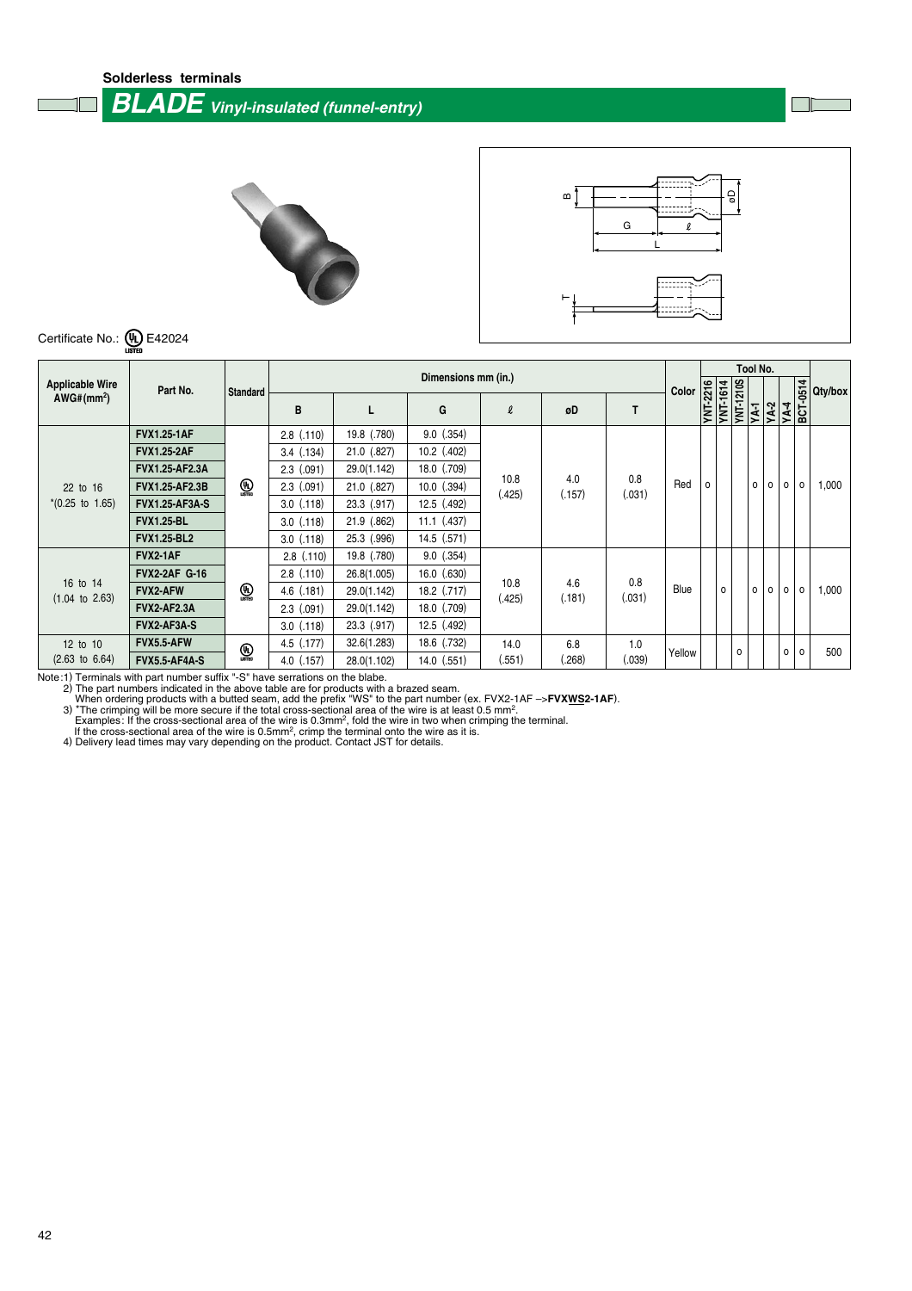**Solderless terminals**

## **BLADE Vinyl-insulated (funnel-entry)**

 $\Box$ 





Certificate No.:  $\underbrace{\mathbf{\mathsf{U}}_1}_{\text{LISTER}}$  E42024

|                                       |                       | Standard        | Dimensions mm (in.) |             |                 |                |               |               |                   |   | <b>Tool No.</b>              |         |         |                                 |              |         |
|---------------------------------------|-----------------------|-----------------|---------------------|-------------|-----------------|----------------|---------------|---------------|-------------------|---|------------------------------|---------|---------|---------------------------------|--------------|---------|
| <b>Applicable Wire</b>                | Part No.              |                 |                     |             |                 |                |               |               |                   |   |                              |         |         |                                 |              | Qty/box |
| AWG#(mm <sup>2</sup> )                |                       |                 | B                   |             | G               | $\ell$         | øD            |               | Color<br>VIT-2216 |   | <b>YNT-1614</b><br>YNT-1210S | YA-1    |         | <b>YA-2</b><br>YA-4<br>BCT-0514 |              |         |
|                                       | <b>FVX1.25-1AF</b>    |                 | $2.8$ $(.110)$      | 19.8 (.780) | $9.0$ $(.354)$  |                |               |               |                   |   |                              |         |         |                                 |              |         |
|                                       | <b>FVX1.25-2AF</b>    |                 | $3.4$ $(.134)$      | 21.0 (.827) | $10.2$ (.402)   |                | 4.0<br>(.157) | 0.8<br>(.031) |                   |   |                              |         |         |                                 |              |         |
|                                       | <b>FVX1.25-AF2.3A</b> |                 | $2.3$ $(.091)$      | 29.0(1.142) | 18.0 (.709)     |                |               |               |                   |   |                              |         |         |                                 |              |         |
| 22 to 16                              | <b>FVX1.25-AF2.3B</b> | $\bigcirc$      | $2.3$ $(.091)$      | 21.0 (.827) | $10.0$ $(.394)$ | 10.8<br>(.425) |               |               | Red               | 0 |                              | 0       | $\circ$ | 0                               | 0            | 1,000   |
| $*(0.25 \text{ to } 1.65)$            | <b>FVX1.25-AF3A-S</b> |                 | $3.0$ $(.118)$      | 23.3 (.917) | 12.5 (.492)     |                |               |               |                   |   |                              |         |         |                                 |              |         |
|                                       | <b>FVX1.25-BL</b>     |                 | $3.0$ $(.118)$      | 21.9 (.862) | $11.1$ $(.437)$ |                |               |               |                   |   |                              |         |         |                                 |              |         |
|                                       | <b>FVX1.25-BL2</b>    |                 | $3.0$ $(.118)$      | 25.3 (.996) | $14.5$ (.571)   |                |               |               |                   |   |                              |         |         |                                 |              |         |
|                                       | <b>FVX2-1AF</b>       |                 | $2.8$ $(.110)$      | 19.8 (.780) | $9.0$ $(.354)$  |                |               |               |                   |   |                              |         |         |                                 |              |         |
|                                       | <b>FVX2-2AF G-16</b>  |                 | $2.8$ $(.110)$      | 26.8(1.005) | $16.0$ $(.630)$ | 10.8           |               | 0.8           |                   |   |                              |         |         |                                 |              |         |
| 16 to 14<br>$(1.04 \text{ to } 2.63)$ | <b>FVX2-AFW</b>       | $\mathbb{Q}$    | $4.6$ $(.181)$      | 29.0(1.142) | 18.2 (.717)     | (.425)         | 4.6<br>(.181) | (.031)        | Blue              |   | $\circ$                      | 0       | $\circ$ | 0                               | 0            | 1,000   |
|                                       | <b>FVX2-AF2.3A</b>    |                 | $2.3$ $(.091)$      | 29.0(1.142) | 18.0 (.709)     |                |               |               |                   |   |                              |         |         |                                 |              |         |
|                                       | FVX2-AF3A-S           |                 | $3.0$ $(.118)$      | 23.3 (.917) | $12.5$ $(.492)$ |                |               |               |                   |   |                              |         |         |                                 |              |         |
| 12 to 10                              | FVX5.5-AFW            | $\bigcirc$ usta | $4.5$ $(.177)$      | 32.6(1.283) | 18.6 (.732)     | 14.0           | 6.8           | 1.0           |                   |   |                              | $\circ$ |         | 0                               | $\mathsf{o}$ | 500     |
| $(2.63 \text{ to } 6.64)$             | <b>FVX5.5-AF4A-S</b>  |                 | $4.0$ (.157)        | 28.0(1.102) | $14.0$ (.551)   | (.551)         | (.268)        | (.039)        | Yellow            |   |                              |         |         |                                 |              |         |

Note:1) Terminals with part number suffix "-S" have serrations on the blabe.<br>
2) The part numbers indicated in the above table are for products with a brazed seam.<br>
When ordering products with a butted seam, add the prefi